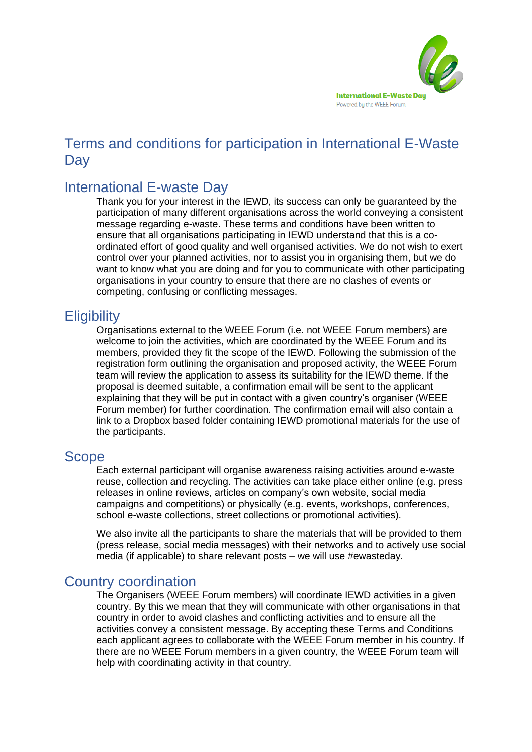

# Terms and conditions for participation in International E-Waste **Day**

## International E-waste Day

Thank you for your interest in the IEWD, its success can only be guaranteed by the participation of many different organisations across the world conveying a consistent message regarding e-waste. These terms and conditions have been written to ensure that all organisations participating in IEWD understand that this is a coordinated effort of good quality and well organised activities. We do not wish to exert control over your planned activities, nor to assist you in organising them, but we do want to know what you are doing and for you to communicate with other participating organisations in your country to ensure that there are no clashes of events or competing, confusing or conflicting messages.

### **Eligibility**

Organisations external to the WEEE Forum (i.e. not WEEE Forum members) are welcome to join the activities, which are coordinated by the WEEE Forum and its members, provided they fit the scope of the IEWD. Following the submission of the registration form outlining the organisation and proposed activity, the WEEE Forum team will review the application to assess its suitability for the IEWD theme. If the proposal is deemed suitable, a confirmation email will be sent to the applicant explaining that they will be put in contact with a given country's organiser (WEEE Forum member) for further coordination. The confirmation email will also contain a link to a Dropbox based folder containing IEWD promotional materials for the use of the participants.

#### Scope

Each external participant will organise awareness raising activities around e-waste reuse, collection and recycling. The activities can take place either online (e.g. press releases in online reviews, articles on company's own website, social media campaigns and competitions) or physically (e.g. events, workshops, conferences, school e-waste collections, street collections or promotional activities).

We also invite all the participants to share the materials that will be provided to them (press release, social media messages) with their networks and to actively use social media (if applicable) to share relevant posts – we will use #ewasteday.

#### Country coordination

The Organisers (WEEE Forum members) will coordinate IEWD activities in a given country. By this we mean that they will communicate with other organisations in that country in order to avoid clashes and conflicting activities and to ensure all the activities convey a consistent message. By accepting these Terms and Conditions each applicant agrees to collaborate with the WEEE Forum member in his country. If there are no WEEE Forum members in a given country, the WEEE Forum team will help with coordinating activity in that country.